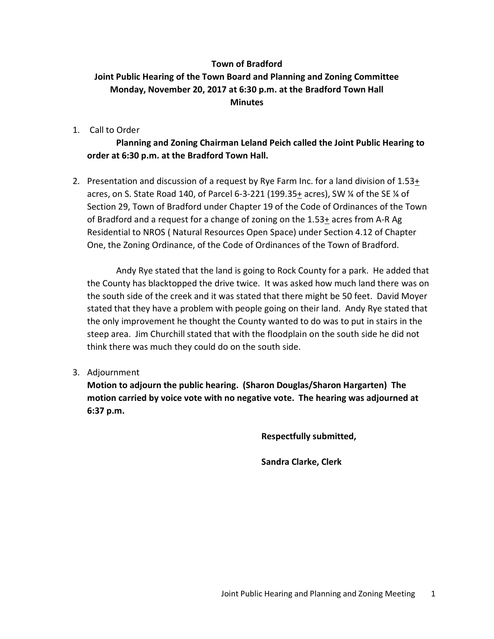## **Town of Bradford Joint Public Hearing of the Town Board and Planning and Zoning Committee Monday, November 20, 2017 at 6:30 p.m. at the Bradford Town Hall Minutes**

1. Call to Order

**Planning and Zoning Chairman Leland Peich called the Joint Public Hearing to order at 6:30 p.m. at the Bradford Town Hall.**

2. Presentation and discussion of a request by Rye Farm Inc. for a land division of 1.53+ acres, on S. State Road 140, of Parcel 6-3-221 (199.35+ acres), SW ¼ of the SE ¼ of Section 29, Town of Bradford under Chapter 19 of the Code of Ordinances of the Town of Bradford and a request for a change of zoning on the 1.53+ acres from A-R Ag Residential to NROS ( Natural Resources Open Space) under Section 4.12 of Chapter One, the Zoning Ordinance, of the Code of Ordinances of the Town of Bradford.

Andy Rye stated that the land is going to Rock County for a park. He added that the County has blacktopped the drive twice. It was asked how much land there was on the south side of the creek and it was stated that there might be 50 feet. David Moyer stated that they have a problem with people going on their land. Andy Rye stated that the only improvement he thought the County wanted to do was to put in stairs in the steep area. Jim Churchill stated that with the floodplain on the south side he did not think there was much they could do on the south side.

3. Adjournment

**Motion to adjourn the public hearing. (Sharon Douglas/Sharon Hargarten) The motion carried by voice vote with no negative vote. The hearing was adjourned at 6:37 p.m.**

**Respectfully submitted,**

**Sandra Clarke, Clerk**